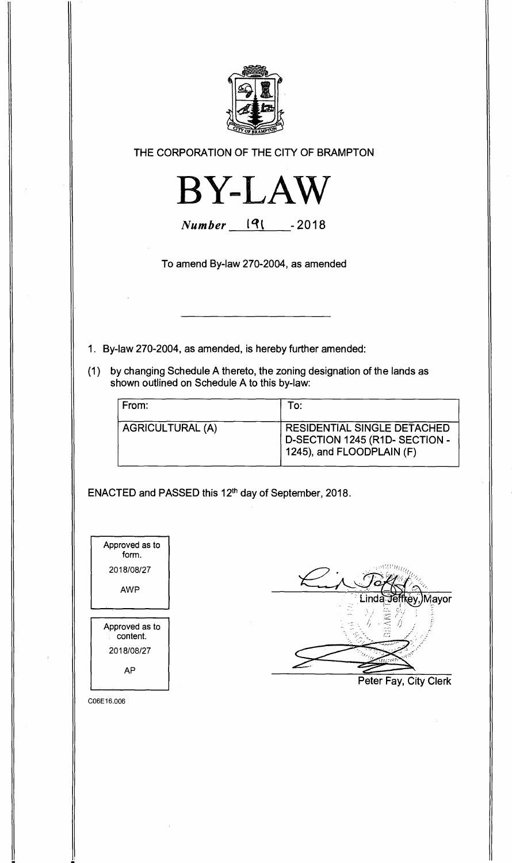

**THE CORPORATION OF THE CITY OF BRAMPTON** 



**Number** 191 - 2018

**To amend By-law 270-2004, as amended** 

- **1. By-law 270-2004, as amended, is hereby further amended:**
- **(1) by changing Schedule A thereto, the zoning designation of the lands as shown outlined on Schedule A to this by-law:**

| From:                   | To:                                                                                       |
|-------------------------|-------------------------------------------------------------------------------------------|
| <b>AGRICULTURAL (A)</b> | RESIDENTIAL SINGLE DETACHED<br>D-SECTION 1245 (R1D-SECTION -<br>1245), and FLOODPLAIN (F) |

**ENACTED and PASSED this 12th day of September, 2018.** 



C06E16.006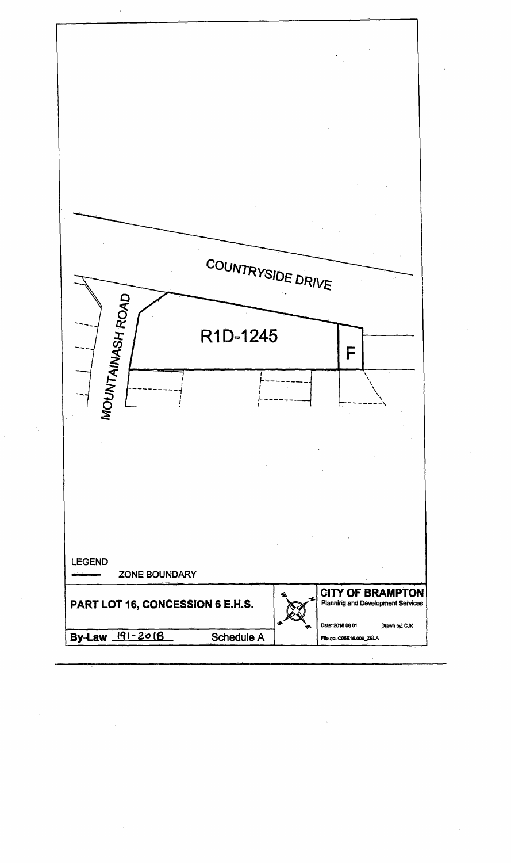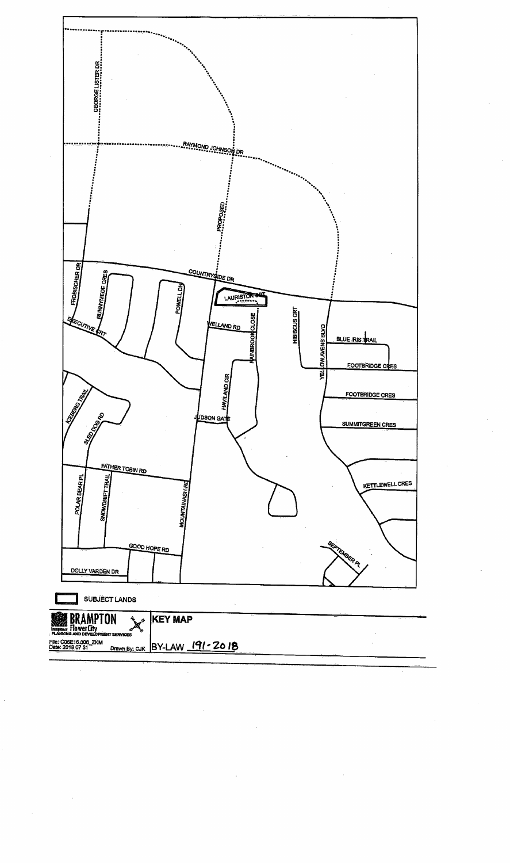